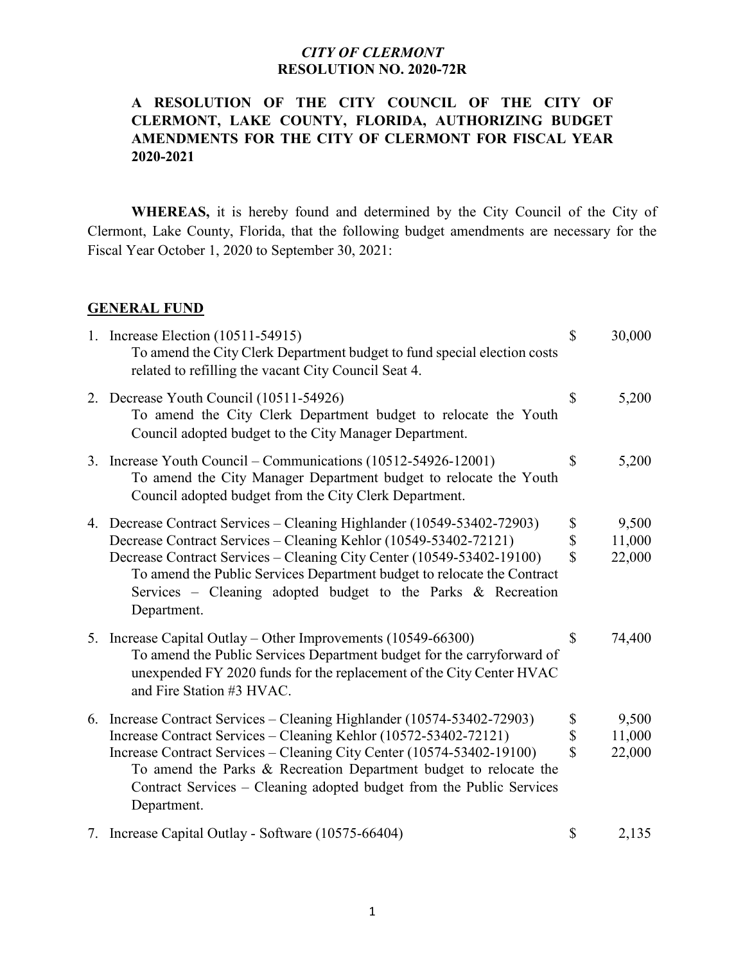#### **A RESOLUTION OF THE CITY COUNCIL OF THE CITY OF CLERMONT, LAKE COUNTY, FLORIDA, AUTHORIZING BUDGET AMENDMENTS FOR THE CITY OF CLERMONT FOR FISCAL YEAR 2020-2021**

**WHEREAS,** it is hereby found and determined by the City Council of the City of Clermont, Lake County, Florida, that the following budget amendments are necessary for the Fiscal Year October 1, 2020 to September 30, 2021:

#### **GENERAL FUND**

| 1. Increase Election (10511-54915)<br>To amend the City Clerk Department budget to fund special election costs<br>related to refilling the vacant City Council Seat 4.                                                                                                                                                                                                           | $\mathbb{S}$                        | 30,000                    |
|----------------------------------------------------------------------------------------------------------------------------------------------------------------------------------------------------------------------------------------------------------------------------------------------------------------------------------------------------------------------------------|-------------------------------------|---------------------------|
| 2. Decrease Youth Council (10511-54926)<br>To amend the City Clerk Department budget to relocate the Youth<br>Council adopted budget to the City Manager Department.                                                                                                                                                                                                             | \$                                  | 5,200                     |
| 3. Increase Youth Council – Communications (10512-54926-12001)<br>To amend the City Manager Department budget to relocate the Youth<br>Council adopted budget from the City Clerk Department.                                                                                                                                                                                    | \$                                  | 5,200                     |
| 4. Decrease Contract Services - Cleaning Highlander (10549-53402-72903)<br>Decrease Contract Services - Cleaning Kehlor (10549-53402-72121)<br>Decrease Contract Services - Cleaning City Center (10549-53402-19100)<br>To amend the Public Services Department budget to relocate the Contract<br>Services - Cleaning adopted budget to the Parks & Recreation<br>Department.   | \$<br>\$<br>$\overline{\mathbf{S}}$ | 9,500<br>11,000<br>22,000 |
| 5. Increase Capital Outlay – Other Improvements (10549-66300)<br>To amend the Public Services Department budget for the carryforward of<br>unexpended FY 2020 funds for the replacement of the City Center HVAC<br>and Fire Station #3 HVAC.                                                                                                                                     | \$                                  | 74,400                    |
| 6. Increase Contract Services – Cleaning Highlander (10574-53402-72903)<br>Increase Contract Services - Cleaning Kehlor (10572-53402-72121)<br>Increase Contract Services – Cleaning City Center (10574-53402-19100)<br>To amend the Parks & Recreation Department budget to relocate the<br>Contract Services - Cleaning adopted budget from the Public Services<br>Department. | \$<br>\$<br>\$                      | 9,500<br>11,000<br>22,000 |
| 7. Increase Capital Outlay - Software (10575-66404)                                                                                                                                                                                                                                                                                                                              | \$                                  | 2,135                     |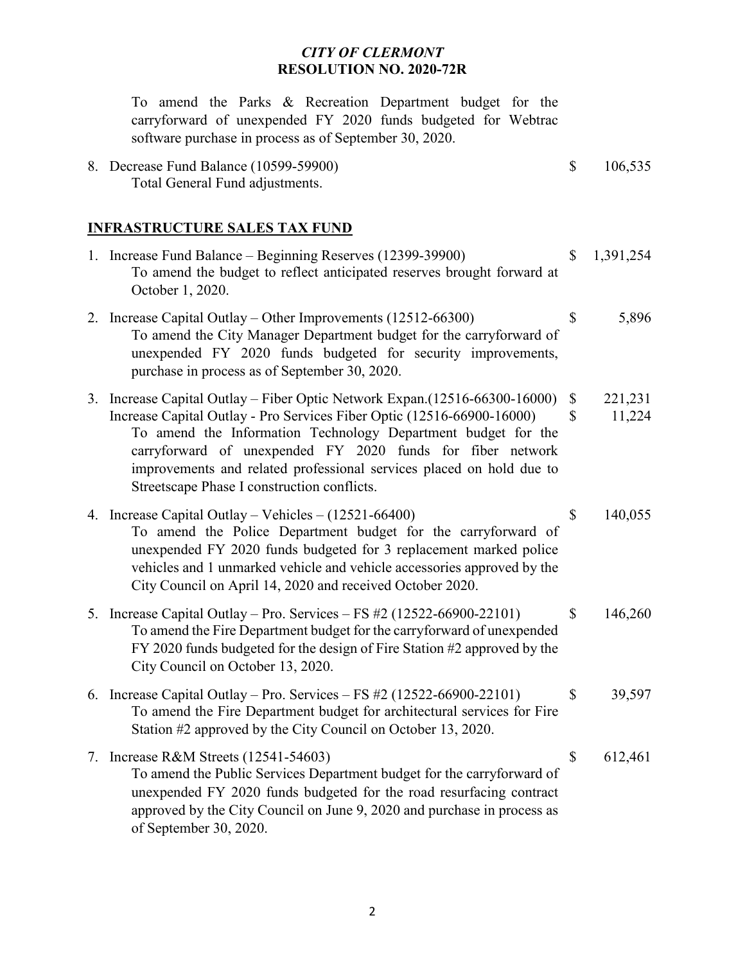|    | To amend the Parks & Recreation Department budget for the<br>carryforward of unexpended FY 2020 funds budgeted for Webtrac<br>software purchase in process as of September 30, 2020.                                                                                                                                                                                                                        |                    |                   |
|----|-------------------------------------------------------------------------------------------------------------------------------------------------------------------------------------------------------------------------------------------------------------------------------------------------------------------------------------------------------------------------------------------------------------|--------------------|-------------------|
|    | 8. Decrease Fund Balance (10599-59900)<br>Total General Fund adjustments.                                                                                                                                                                                                                                                                                                                                   | \$                 | 106,535           |
|    | <b>INFRASTRUCTURE SALES TAX FUND</b>                                                                                                                                                                                                                                                                                                                                                                        |                    |                   |
|    | 1. Increase Fund Balance – Beginning Reserves (12399-39900)<br>To amend the budget to reflect anticipated reserves brought forward at<br>October 1, 2020.                                                                                                                                                                                                                                                   | \$                 | 1,391,254         |
|    | 2. Increase Capital Outlay – Other Improvements (12512-66300)<br>To amend the City Manager Department budget for the carryforward of<br>unexpended FY 2020 funds budgeted for security improvements,<br>purchase in process as of September 30, 2020.                                                                                                                                                       | \$                 | 5,896             |
|    | 3. Increase Capital Outlay – Fiber Optic Network Expan. (12516-66300-16000)<br>Increase Capital Outlay - Pro Services Fiber Optic (12516-66900-16000)<br>To amend the Information Technology Department budget for the<br>carryforward of unexpended FY 2020 funds for fiber network<br>improvements and related professional services placed on hold due to<br>Streetscape Phase I construction conflicts. | \$<br>$\mathbb{S}$ | 221,231<br>11,224 |
|    | 4. Increase Capital Outlay - Vehicles - (12521-66400)<br>To amend the Police Department budget for the carryforward of<br>unexpended FY 2020 funds budgeted for 3 replacement marked police<br>vehicles and 1 unmarked vehicle and vehicle accessories approved by the<br>City Council on April 14, 2020 and received October 2020.                                                                         | \$                 | 140,055           |
|    | 5. Increase Capital Outlay – Pro. Services – FS $#2$ (12522-66900-22101)<br>To amend the Fire Department budget for the carryforward of unexpended<br>FY 2020 funds budgeted for the design of Fire Station #2 approved by the<br>City Council on October 13, 2020.                                                                                                                                         | \$                 | 146,260           |
|    | 6. Increase Capital Outlay – Pro. Services – FS $#2$ (12522-66900-22101)<br>To amend the Fire Department budget for architectural services for Fire<br>Station #2 approved by the City Council on October 13, 2020.                                                                                                                                                                                         | \$                 | 39,597            |
| 7. | Increase R&M Streets $(12541-54603)$<br>To amend the Public Services Department budget for the carryforward of<br>unexpended FY 2020 funds budgeted for the road resurfacing contract<br>approved by the City Council on June 9, 2020 and purchase in process as<br>of September 30, 2020.                                                                                                                  | \$                 | 612,461           |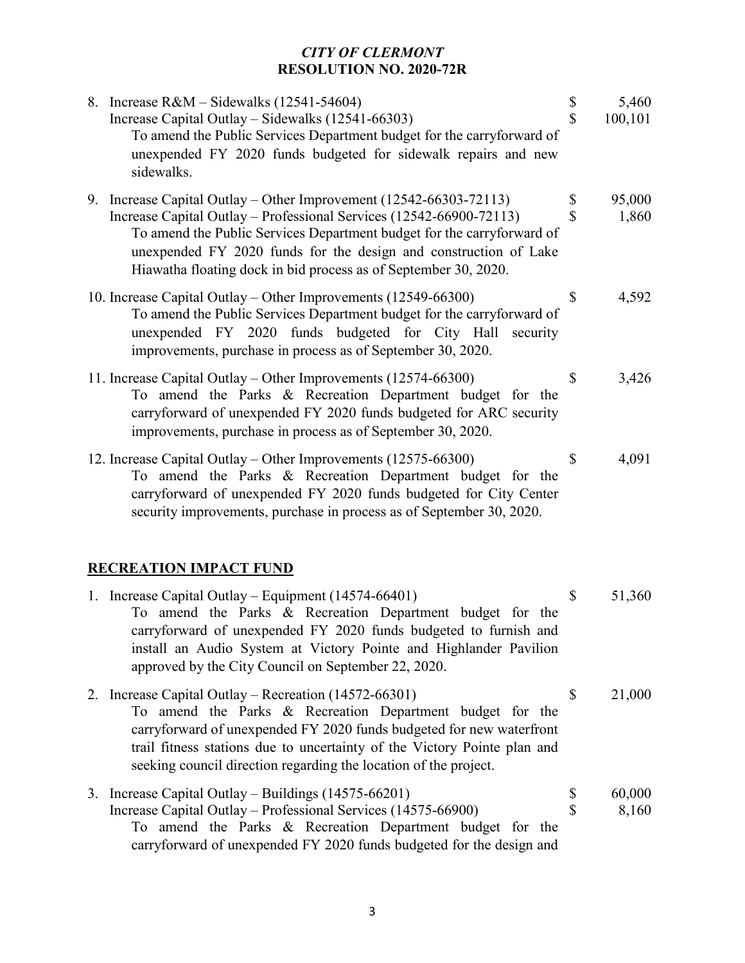|    | 8. Increase $R&M-Sidewalks(12541-54604)$<br>Increase Capital Outlay - Sidewalks (12541-66303)<br>To amend the Public Services Department budget for the carryforward of<br>unexpended FY 2020 funds budgeted for sidewalk repairs and new<br>sidewalks.                                                                                                    | \$<br>\$ | 5,460<br>100,101 |
|----|------------------------------------------------------------------------------------------------------------------------------------------------------------------------------------------------------------------------------------------------------------------------------------------------------------------------------------------------------------|----------|------------------|
|    | 9. Increase Capital Outlay – Other Improvement (12542-66303-72113)<br>Increase Capital Outlay – Professional Services (12542-66900-72113)<br>To amend the Public Services Department budget for the carryforward of<br>unexpended FY 2020 funds for the design and construction of Lake<br>Hiawatha floating dock in bid process as of September 30, 2020. | \$<br>\$ | 95,000<br>1,860  |
|    | 10. Increase Capital Outlay – Other Improvements (12549-66300)<br>To amend the Public Services Department budget for the carryforward of<br>unexpended FY 2020 funds budgeted for City Hall security<br>improvements, purchase in process as of September 30, 2020.                                                                                        | \$       | 4,592            |
|    | 11. Increase Capital Outlay – Other Improvements (12574-66300)<br>To amend the Parks & Recreation Department budget for the<br>carryforward of unexpended FY 2020 funds budgeted for ARC security<br>improvements, purchase in process as of September 30, 2020.                                                                                           | \$       | 3,426            |
|    | 12. Increase Capital Outlay – Other Improvements (12575-66300)<br>To amend the Parks & Recreation Department budget for the<br>carryforward of unexpended FY 2020 funds budgeted for City Center<br>security improvements, purchase in process as of September 30, 2020.                                                                                   | \$       | 4,091            |
|    | <b>RECREATION IMPACT FUND</b>                                                                                                                                                                                                                                                                                                                              |          |                  |
|    | 1. Increase Capital Outlay – Equipment (14574-66401)<br>To amend the Parks & Recreation Department budget for the<br>carryforward of unexpended FY 2020 funds budgeted to furnish and<br>install an Audio System at Victory Pointe and Highlander Pavilion<br>approved by the City Council on September 22, 2020.                                          | \$       | 51,360           |
| 2. | Increase Capital Outlay - Recreation (14572-66301)<br>To amend the Parks & Recreation Department budget for the<br>carryforward of unexpended FY 2020 funds budgeted for new waterfront<br>trail fitness stations due to uncertainty of the Victory Pointe plan and<br>seeking council direction regarding the location of the project.                    | \$       | 21,000           |
| 3. | Increase Capital Outlay – Buildings $(14575-66201)$<br>Increase Capital Outlay - Professional Services (14575-66900)<br>To amend the Parks & Recreation Department budget for the<br>carryforward of unexpended FY 2020 funds budgeted for the design and                                                                                                  | \$<br>\$ | 60,000<br>8,160  |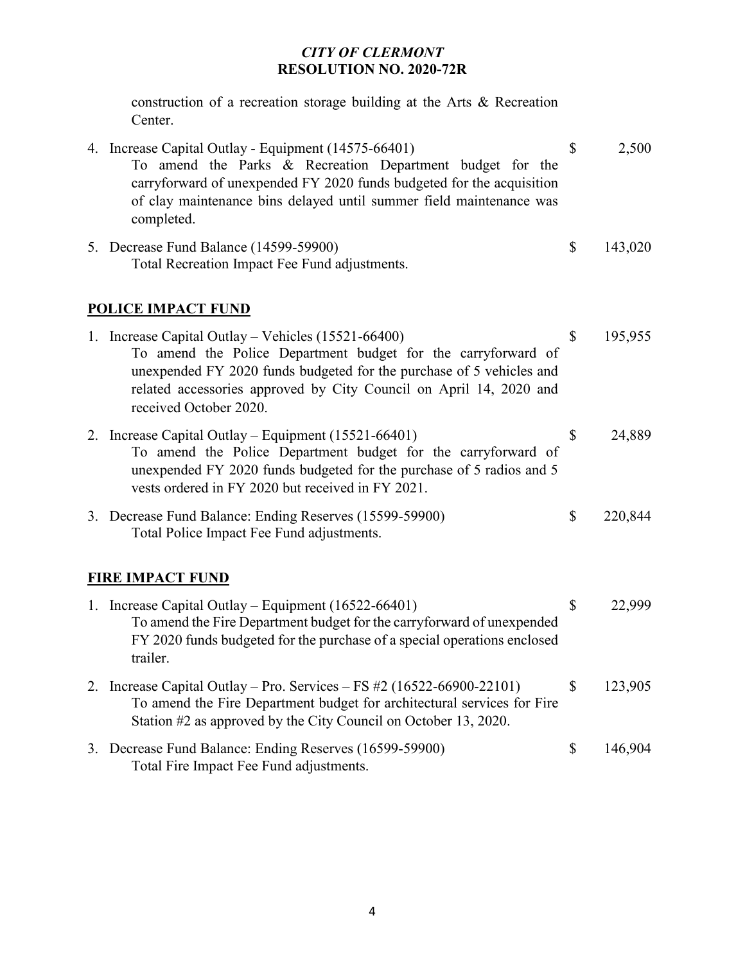construction of a recreation storage building at the Arts & Recreation Center.

| 4. Increase Capital Outlay - Equipment (14575-66401)<br>To amend the Parks & Recreation Department budget for the<br>carryforward of unexpended FY 2020 funds budgeted for the acquisition<br>of clay maintenance bins delayed until summer field maintenance was<br>completed.              | $\mathbb{S}$ | 2,500   |  |
|----------------------------------------------------------------------------------------------------------------------------------------------------------------------------------------------------------------------------------------------------------------------------------------------|--------------|---------|--|
| 5. Decrease Fund Balance (14599-59900)<br>Total Recreation Impact Fee Fund adjustments.                                                                                                                                                                                                      | \$           | 143,020 |  |
| <b>POLICE IMPACT FUND</b>                                                                                                                                                                                                                                                                    |              |         |  |
| 1. Increase Capital Outlay – Vehicles (15521-66400)<br>To amend the Police Department budget for the carryforward of<br>unexpended FY 2020 funds budgeted for the purchase of 5 vehicles and<br>related accessories approved by City Council on April 14, 2020 and<br>received October 2020. | \$           | 195,955 |  |
| 2. Increase Capital Outlay – Equipment (15521-66401)<br>To amend the Police Department budget for the carryforward of<br>unexpended FY 2020 funds budgeted for the purchase of 5 radios and 5<br>vests ordered in FY 2020 but received in FY 2021.                                           | $\mathbb{S}$ | 24,889  |  |
| 3. Decrease Fund Balance: Ending Reserves (15599-59900)<br>Total Police Impact Fee Fund adjustments.                                                                                                                                                                                         | \$           | 220,844 |  |
| <b>FIRE IMPACT FUND</b>                                                                                                                                                                                                                                                                      |              |         |  |
| 1. Increase Capital Outlay – Equipment (16522-66401)<br>To amend the Fire Department budget for the carryforward of unexpended<br>FY 2020 funds budgeted for the purchase of a special operations enclosed<br>trailer.                                                                       | \$           | 22,999  |  |
| 2. Increase Capital Outlay – Pro. Services – FS $#2$ (16522-66900-22101)<br>To amend the Fire Department budget for architectural services for Fire<br>Station #2 as approved by the City Council on October 13, 2020.                                                                       | $\mathbb{S}$ | 123,905 |  |

3. Decrease Fund Balance: Ending Reserves (16599-59900) \$ 146,904 Total Fire Impact Fee Fund adjustments.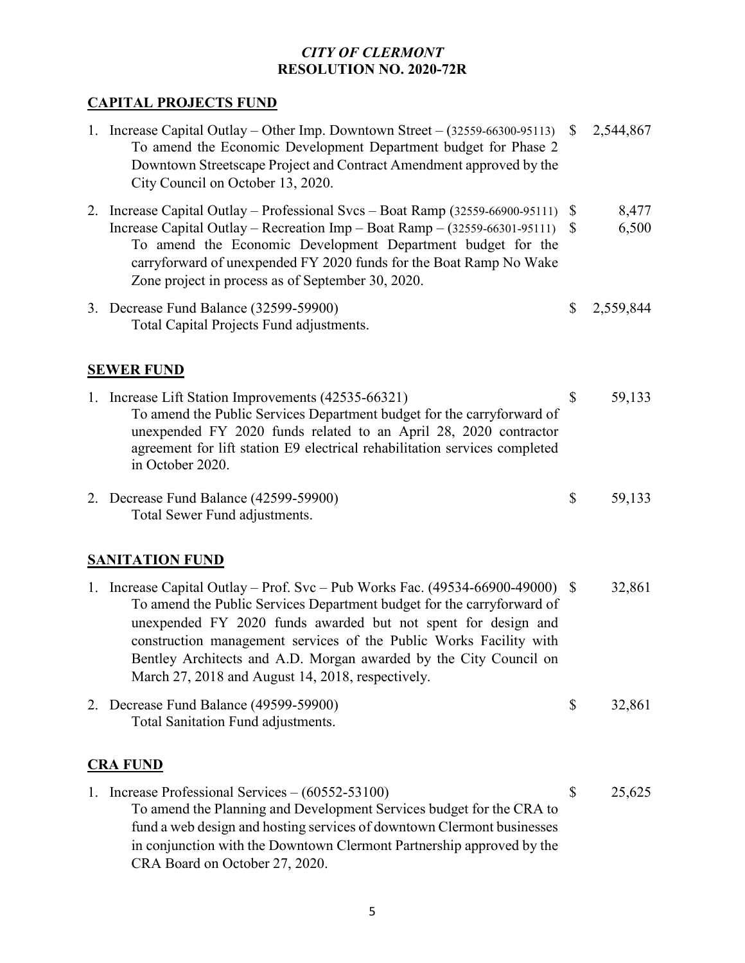# **CAPITAL PROJECTS FUND**

|                 | 1. Increase Capital Outlay – Other Imp. Downtown Street – $(32559-66300-95113)$ \$<br>To amend the Economic Development Department budget for Phase 2<br>Downtown Streetscape Project and Contract Amendment approved by the<br>City Council on October 13, 2020.                                                                                                                                                         |                              | 2,544,867      |  |
|-----------------|---------------------------------------------------------------------------------------------------------------------------------------------------------------------------------------------------------------------------------------------------------------------------------------------------------------------------------------------------------------------------------------------------------------------------|------------------------------|----------------|--|
|                 | 2. Increase Capital Outlay – Professional Svcs – Boat Ramp (32559-66900-95111)<br>Increase Capital Outlay – Recreation Imp – Boat Ramp – $(32559-66301-95111)$<br>To amend the Economic Development Department budget for the<br>carryforward of unexpended FY 2020 funds for the Boat Ramp No Wake<br>Zone project in process as of September 30, 2020.                                                                  | $\mathbb{S}$<br>$\mathbb{S}$ | 8,477<br>6,500 |  |
|                 | 3. Decrease Fund Balance (32599-59900)<br>Total Capital Projects Fund adjustments.                                                                                                                                                                                                                                                                                                                                        | $\mathbb{S}$                 | 2,559,844      |  |
|                 | <b>SEWER FUND</b>                                                                                                                                                                                                                                                                                                                                                                                                         |                              |                |  |
|                 | 1. Increase Lift Station Improvements (42535-66321)<br>To amend the Public Services Department budget for the carryforward of<br>unexpended FY 2020 funds related to an April 28, 2020 contractor<br>agreement for lift station E9 electrical rehabilitation services completed<br>in October 2020.                                                                                                                       | \$                           | 59,133         |  |
|                 | 2. Decrease Fund Balance (42599-59900)<br>Total Sewer Fund adjustments.                                                                                                                                                                                                                                                                                                                                                   | \$                           | 59,133         |  |
|                 | <b>SANITATION FUND</b>                                                                                                                                                                                                                                                                                                                                                                                                    |                              |                |  |
|                 | 1. Increase Capital Outlay - Prof. Svc - Pub Works Fac. (49534-66900-49000) \$<br>To amend the Public Services Department budget for the carryforward of<br>unexpended FY 2020 funds awarded but not spent for design and<br>construction management services of the Public Works Facility with<br>Bentley Architects and A.D. Morgan awarded by the City Council on<br>March 27, 2018 and August 14, 2018, respectively. |                              | 32,861         |  |
|                 | 2. Decrease Fund Balance (49599-59900)<br>Total Sanitation Fund adjustments.                                                                                                                                                                                                                                                                                                                                              | \$                           | 32,861         |  |
| <b>CRA FUND</b> |                                                                                                                                                                                                                                                                                                                                                                                                                           |                              |                |  |
|                 | 1. Increase Professional Services $-(60552-53100)$<br>To amend the Planning and Development Services budget for the CRA to<br>fund a web design and hosting services of downtown Clermont businesses<br>in conjunction with the Downtown Clermont Partnership approved by the                                                                                                                                             | \$                           | 25,625         |  |

CRA Board on October 27, 2020.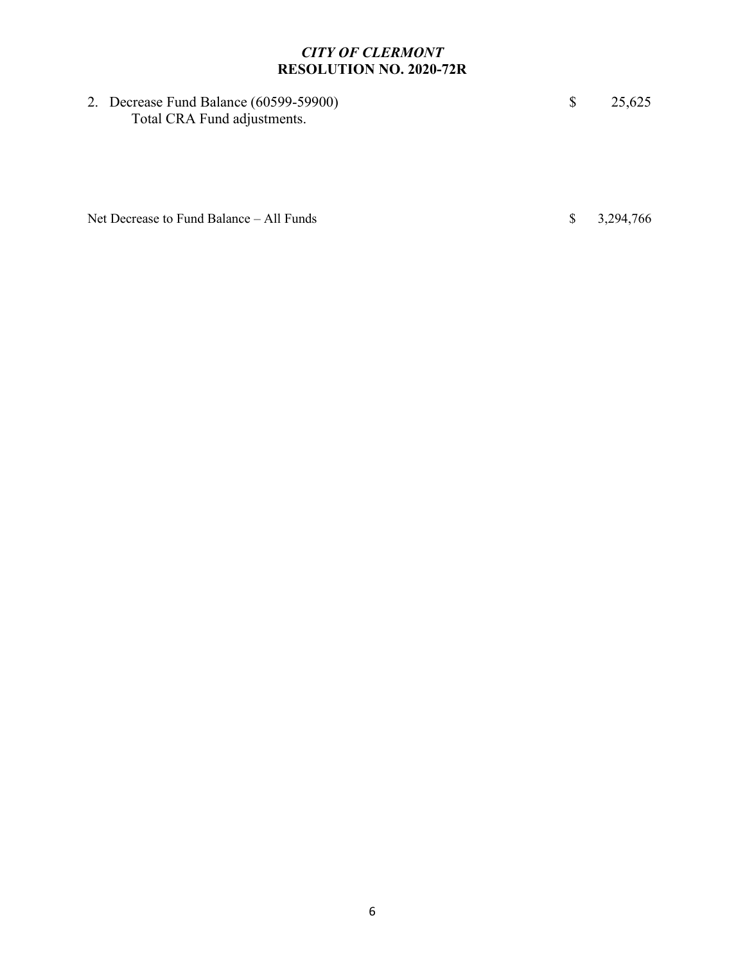2. Decrease Fund Balance (60599-59900) \$ 25,625 Total CRA Fund adjustments.

Net Decrease to Fund Balance – All Funds  $\qquad$  \$ 3,294,766